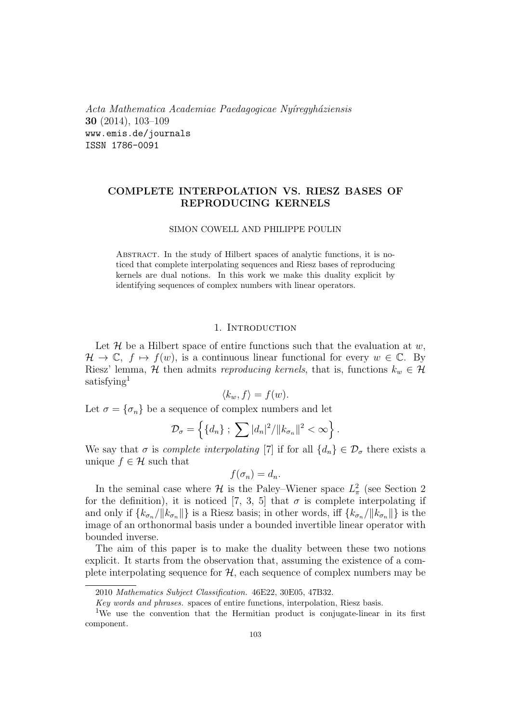*Acta Mathematica Academiae Paedagogicae Ny´ıregyh´aziensis* **30** (2014), 103–109 www.emis.de/journals ISSN 1786-0091

# **COMPLETE INTERPOLATION VS. RIESZ BASES OF REPRODUCING KERNELS**

### SIMON COWELL AND PHILIPPE POULIN

Abstract. In the study of Hilbert spaces of analytic functions, it is noticed that complete interpolating sequences and Riesz bases of reproducing kernels are dual notions. In this work we make this duality explicit by identifying sequences of complex numbers with linear operators.

#### 1. INTRODUCTION

Let  $\mathcal H$  be a Hilbert space of entire functions such that the evaluation at  $w$ ,  $\mathcal{H} \to \mathbb{C}, f \mapsto f(w)$ , is a continuous linear functional for every  $w \in \mathbb{C}$ . By Riesz' lemma, *H* then admits *reproducing kernels*, that is, functions  $k_w \in H$ satisfying<sup>1</sup>

$$
\langle k_w, f \rangle = f(w).
$$

Let  $\sigma = {\sigma_n}$  be a sequence of complex numbers and let

$$
\mathcal{D}_{\sigma} = \left\{ \{d_n\} ; \sum |d_n|^2 / ||k_{\sigma_n}||^2 < \infty \right\}.
$$

We say that  $\sigma$  is *complete interpolating* [7] if for all  $\{d_n\} \in \mathcal{D}_{\sigma}$  there exists a unique  $f \in \mathcal{H}$  such that

$$
f(\sigma_n)=d_n.
$$

In the seminal case where  $\mathcal{H}$  is the Paley–Wiener space  $L^2_{\pi}$  (see Section 2) for the definition), it is noticed [7, 3, 5] that  $\sigma$  is complete interpolating if and only if  ${k_{\sigma_n}}/||k_{\sigma_n}||$  is a Riesz basis; in other words, iff  ${k_{\sigma_n}}/||k_{\sigma_n}||$  is the image of an orthonormal basis under a bounded invertible linear operator with bounded inverse.

The aim of this paper is to make the duality between these two notions explicit. It starts from the observation that, assuming the existence of a complete interpolating sequence for  $H$ , each sequence of complex numbers may be

<sup>2010</sup> *Mathematics Subject Classification.* 46E22, 30E05, 47B32.

*Key words and phrases.* spaces of entire functions, interpolation, Riesz basis.

<sup>&</sup>lt;sup>1</sup>We use the convention that the Hermitian product is conjugate-linear in its first component.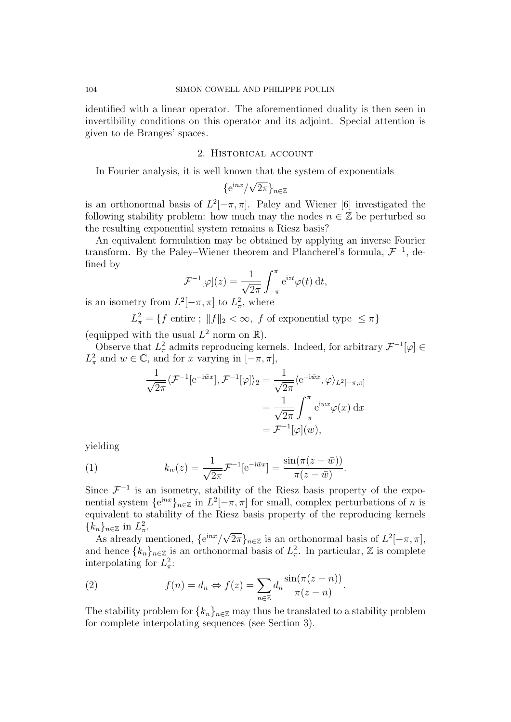identified with a linear operator. The aforementioned duality is then seen in invertibility conditions on this operator and its adjoint. Special attention is given to de Branges' spaces.

### 2. Historical account

In Fourier analysis, it is well known that the system of exponentials

$$
\{e^{inx}/\sqrt{2\pi}\}_{n\in\mathbb{Z}}
$$

is an orthonormal basis of  $L^2[-\pi,\pi]$ . Paley and Wiener [6] investigated the following stability problem: how much may the nodes  $n \in \mathbb{Z}$  be perturbed so the resulting exponential system remains a Riesz basis?

An equivalent formulation may be obtained by applying an inverse Fourier transform. By the Paley–Wiener theorem and Plancherel's formula, *F −*1 , defined by

$$
\mathcal{F}^{-1}[\varphi](z) = \frac{1}{\sqrt{2\pi}} \int_{-\pi}^{\pi} e^{izt} \varphi(t) dt,
$$

is an isometry from  $L^2[-\pi, \pi]$  to  $L^2_{\pi}$ , where

 $L_{\pi}^2 = \{ f \text{ entire } ; \ \|f\|_2 < \infty, \ f \text{ of exponential type } \leq \pi \}$ 

(equipped with the usual  $L^2$  norm on  $\mathbb{R}$ ).

Observe that  $L^2_{\pi}$  admits reproducing kernels. Indeed, for arbitrary  $\mathcal{F}^{-1}[\varphi] \in$  $L^2_{\pi}$  and  $w \in \mathbb{C}$ , and for *x* varying in  $[-\pi, \pi]$ ,

$$
\frac{1}{\sqrt{2\pi}} \langle \mathcal{F}^{-1}[\mathrm{e}^{-\mathrm{i}\bar{w}x}], \mathcal{F}^{-1}[\varphi] \rangle_2 = \frac{1}{\sqrt{2\pi}} \langle \mathrm{e}^{-\mathrm{i}\bar{w}x}, \varphi \rangle_{L^2[-\pi,\pi]}
$$

$$
= \frac{1}{\sqrt{2\pi}} \int_{-\pi}^{\pi} \mathrm{e}^{\mathrm{i}wx} \varphi(x) \, \mathrm{d}x
$$

$$
= \mathcal{F}^{-1}[\varphi](w),
$$

yielding

(1) 
$$
k_w(z) = \frac{1}{\sqrt{2\pi}} \mathcal{F}^{-1} [e^{-i\bar{w}x}] = \frac{\sin(\pi(z - \bar{w}))}{\pi(z - \bar{w})}.
$$

Since  $\mathcal{F}^{-1}$  is an isometry, stability of the Riesz basis property of the exponential system  ${e^{inx}}_{n \in \mathbb{Z}}$  in  $L^2[-\pi, \pi]$  for small, complex perturbations of *n* is equivalent to stability of the Riesz basis property of the reproducing kernels  ${k_n}_{n \in \mathbb{Z}}$  in  $L^2_{\pi}$ . *√*

As already mentioned, *{*e <sup>i</sup>*nx/*  $\{2\pi\}_{n\in\mathbb{Z}}$  is an orthonormal basis of  $L^2[-\pi,\pi],$ and hence  $\{k_n\}_{n\in\mathbb{Z}}$  is an orthonormal basis of  $L^2_{\pi}$ . In particular,  $\mathbb{Z}$  is complete interpolating for  $L^2_{\pi}$ :

(2) 
$$
f(n) = d_n \Leftrightarrow f(z) = \sum_{n \in \mathbb{Z}} d_n \frac{\sin(\pi(z - n))}{\pi(z - n)}.
$$

The stability problem for  $\{k_n\}_{n\in\mathbb{Z}}$  may thus be translated to a stability problem for complete interpolating sequences (see Section 3).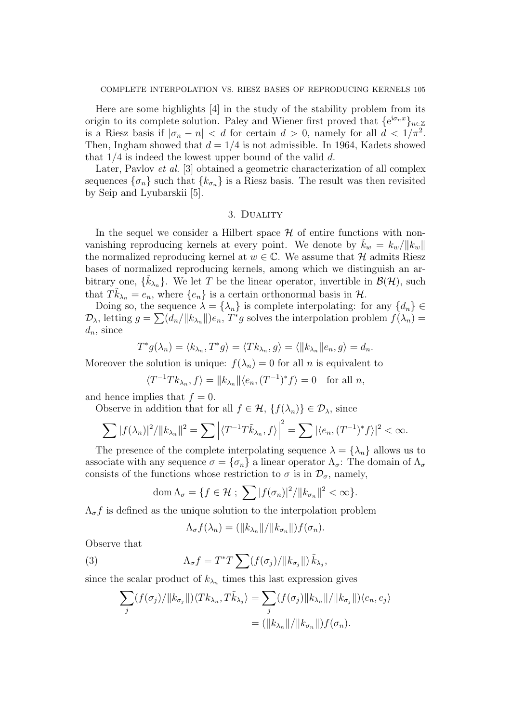Here are some highlights [4] in the study of the stability problem from its origin to its complete solution. Paley and Wiener first proved that  ${e^{i\sigma_n x}}_{n\in\mathbb{Z}}$ is a Riesz basis if  $|\sigma_n - n| < d$  for certain  $d > 0$ , namely for all  $d < 1/\pi^2$ . Then, Ingham showed that  $d = 1/4$  is not admissible. In 1964, Kadets showed that 1*/*4 is indeed the lowest upper bound of the valid *d*.

Later, Pavlov *et al.* [3] obtained a geometric characterization of all complex sequences  $\{\sigma_n\}$  such that  $\{k_{\sigma_n}\}\$ is a Riesz basis. The result was then revisited by Seip and Lyubarskii [5].

# 3. Duality

In the sequel we consider a Hilbert space  $H$  of entire functions with nonvanishing reproducing kernels at every point. We denote by  $\tilde{k}_w = k_w / ||k_w||$ the normalized reproducing kernel at  $w \in \mathbb{C}$ . We assume that  $\mathcal{H}$  admits Riesz bases of normalized reproducing kernels, among which we distinguish an arbitrary one,  $\{\tilde{k}_{\lambda_n}\}$ . We let *T* be the linear operator, invertible in  $\mathcal{B}(\mathcal{H})$ , such that  $T\tilde{k}_{\lambda_n} = e_n$ , where  $\{e_n\}$  is a certain orthonormal basis in  $\mathcal{H}$ .

Doing so, the sequence  $\lambda = {\lambda_n}$  is complete interpolating: for any  ${d_n} \in$  $\mathcal{D}_{\lambda}$ , letting  $g = \sum (d_n / \|k_{\lambda_n}\|) e_n$ ,  $T^* g$  solves the interpolation problem  $f(\lambda_n) =$ *dn*, since

$$
T^*g(\lambda_n) = \langle k_{\lambda_n}, T^*g \rangle = \langle Tk_{\lambda_n}, g \rangle = \langle ||k_{\lambda_n}||e_n, g \rangle = d_n.
$$

Moreover the solution is unique:  $f(\lambda_n) = 0$  for all *n* is equivalent to

$$
\langle T^{-1}Tk_{\lambda_n}, f \rangle = ||k_{\lambda_n}|| \langle e_n, (T^{-1})^* f \rangle = 0 \text{ for all } n,
$$

and hence implies that  $f = 0$ .

Observe in addition that for all  $f \in \mathcal{H}$ ,  $\{f(\lambda_n)\}\in \mathcal{D}_{\lambda}$ , since

$$
\sum |f(\lambda_n)|^2/||k_{\lambda_n}||^2 = \sum |\langle T^{-1}T\tilde{k}_{\lambda_n},f\rangle|^2 = \sum |\langle e_n,(T^{-1})^*f\rangle|^2 < \infty.
$$

The presence of the complete interpolating sequence  $\lambda = {\lambda_n}$  allows us to associate with any sequence  $\sigma = {\sigma_n}$  a linear operator  $\Lambda_{\sigma}$ : The domain of  $\Lambda_{\sigma}$ consists of the functions whose restriction to  $\sigma$  is in  $\mathcal{D}_{\sigma}$ , namely,

$$
\operatorname{dom}\Lambda_{\sigma}=\{f\in\mathcal{H} ; \sum |f(\sigma_n)|^2/\|k_{\sigma_n}\|^2<\infty\}.
$$

 $\Lambda_{\sigma} f$  is defined as the unique solution to the interpolation problem

$$
\Lambda_{\sigma}f(\lambda_n) = (\|k_{\lambda_n}\|/\|k_{\sigma_n}\|)f(\sigma_n).
$$

Observe that

(3) 
$$
\Lambda_{\sigma}f = T^*T\sum (f(\sigma_j)/\|k_{\sigma_j}\|)\tilde{k}_{\lambda_j},
$$

since the scalar product of  $k_{\lambda_n}$  times this last expression gives

$$
\sum_{j} (f(\sigma_j)/||k_{\sigma_j}||)\langle Tk_{\lambda_n}, T\tilde{k}_{\lambda_j} \rangle = \sum_{j} (f(\sigma_j)||k_{\lambda_n}||/||k_{\sigma_j}||)\langle e_n, e_j \rangle
$$
  

$$
= (||k_{\lambda_n}||/||k_{\sigma_n}||)f(\sigma_n).
$$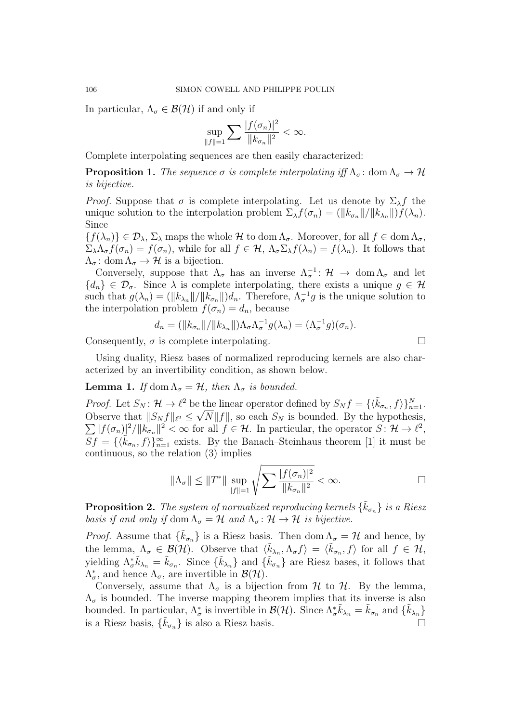In particular,  $\Lambda_{\sigma} \in \mathcal{B}(\mathcal{H})$  if and only if

$$
\sup_{\|f\|=1}\sum\frac{|f(\sigma_n)|^2}{\|k_{\sigma_n}\|^2}<\infty.
$$

Complete interpolating sequences are then easily characterized:

**Proposition 1.** *The sequence*  $\sigma$  *is complete interpolating iff*  $\Lambda_{\sigma}$ : dom  $\Lambda_{\sigma} \to \mathcal{H}$ *is bijective.*

*Proof.* Suppose that  $\sigma$  is complete interpolating. Let us denote by  $\Sigma_{\lambda} f$  the unique solution to the interpolation problem  $\Sigma_{\lambda} f(\sigma_n) = (\|k_{\sigma_n}\|/\|k_{\lambda_n}\|)f(\lambda_n)$ . Since

 ${f}(\lambda_n)$   $\in \mathcal{D}_\lambda$ ,  $\Sigma_\lambda$  maps the whole *H* to dom  $\Lambda_\sigma$ . Moreover, for all  $f \in \text{dom } \Lambda_\sigma$ ,  $\Sigma_{\lambda} \Lambda_{\sigma} f(\sigma_n) = f(\sigma_n)$ , while for all  $f \in \mathcal{H}$ ,  $\Lambda_{\sigma} \Sigma_{\lambda} f(\lambda_n) = f(\lambda_n)$ . It follows that  $\Lambda_{\sigma}$ : dom  $\Lambda_{\sigma} \to \mathcal{H}$  is a bijection.

Conversely, suppose that  $\Lambda_{\sigma}$  has an inverse  $\Lambda_{\sigma}^{-1}$ :  $\mathcal{H} \to \text{dom } \Lambda_{\sigma}$  and let  ${d_n} \in \mathcal{D}_{\sigma}$ . Since  $\lambda$  is complete interpolating, there exists a unique  $g \in \mathcal{H}$ such that  $g(\lambda_n) = (\|k_{\lambda_n}\|/\|k_{\sigma_n}\|)d_n$ . Therefore,  $\Lambda_{\sigma}^{-1}g$  is the unique solution to the interpolation problem  $f(\sigma_n) = d_n$ , because

$$
d_n = (\|k_{\sigma_n}\|/\|k_{\lambda_n}\|)\Lambda_\sigma\Lambda_\sigma^{-1}g(\lambda_n) = (\Lambda_\sigma^{-1}g)(\sigma_n).
$$

Consequently,  $\sigma$  is complete interpolating.

Using duality, Riesz bases of normalized reproducing kernels are also characterized by an invertibility condition, as shown below.

## **Lemma 1.** *If* dom  $\Lambda_{\sigma} = \mathcal{H}$ *, then*  $\Lambda_{\sigma}$  *is bounded.*

*Proof.* Let  $S_N$ :  $\mathcal{H} \to \ell^2$  be the linear operator defined by  $S_N f = \{\langle \tilde{k}_{\sigma_n}, f \rangle\}_{n=1}^N$ . Observe that  $||S_N f||_{\ell^2} \le \sqrt{N||f||}$ , so each  $S_N$  is bounded. By the hypothesis,  $\sum |f(\sigma_n)|^2/||k_{\sigma_n}||^2 < \infty$  for all  $f \in \mathcal{H}$ . In particular, the operator  $S: \mathcal{H} \to \ell^2$ ,  $Sf = \{\langle \tilde{k}_{\sigma_n}, f \rangle\}_{n=1}^{\infty}$  exists. By the Banach–Steinhaus theorem [1] it must be continuous, so the relation (3) implies

$$
\|\Lambda_{\sigma}\| \le \|T^*\| \sup_{\|f\|=1} \sqrt{\sum \frac{|f(\sigma_n)|^2}{\|k_{\sigma_n}\|^2}} < \infty.
$$

**Proposition 2.** *The system of normalized reproducing kernels*  $\{\tilde{k}_{\sigma_n}\}$  *is a Riesz basis if and only if*  $\text{dom }\Lambda_{\sigma} = \mathcal{H}$  *and*  $\Lambda_{\sigma} : \mathcal{H} \to \mathcal{H}$  *is bijective.* 

*Proof.* Assume that  $\{\tilde{k}_{\sigma_n}\}\$ is a Riesz basis. Then dom  $\Lambda_{\sigma} = \mathcal{H}$  and hence, by the lemma,  $\Lambda_{\sigma} \in \mathcal{B}(\mathcal{H})$ . Observe that  $\langle \tilde{k}_{\lambda_n}, \Lambda_{\sigma} f \rangle = \langle \tilde{k}_{\sigma_n}, f \rangle$  for all  $f \in \mathcal{H}$ , yielding  $\Lambda_{\sigma}^{*} \tilde{k}_{\lambda_n} = \tilde{k}_{\sigma_n}$ . Since  $\{\tilde{k}_{\lambda_n}\}\$  and  $\{\tilde{k}_{\sigma_n}\}\$ are Riesz bases, it follows that  $\Lambda^*_{\sigma}$ , and hence  $\Lambda_{\sigma}$ , are invertible in  $\mathcal{B}(\mathcal{H})$ .

Conversely, assume that  $\Lambda_{\sigma}$  is a bijection from *H* to *H*. By the lemma,  $\Lambda_{\sigma}$  is bounded. The inverse mapping theorem implies that its inverse is also bounded. In particular,  $\Lambda^*_{\sigma}$  is invertible in  $\mathcal{B}(\mathcal{H})$ . Since  $\Lambda^*_{\sigma} \tilde{k}_{\lambda_n} = \tilde{k}_{\sigma_n}$  and  $\{\tilde{k}_{\lambda_n}\}$ is a Riesz basis,  $\{\tilde{k}_{\sigma_n}\}\$ is also a Riesz basis.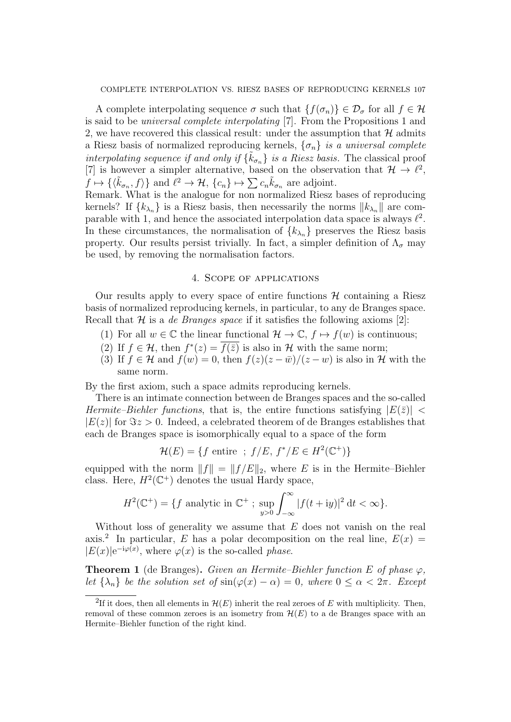A complete interpolating sequence  $\sigma$  such that  $\{f(\sigma_n)\}\in \mathcal{D}_{\sigma}$  for all  $f\in \mathcal{H}$ is said to be *universal complete interpolating* [7]. From the Propositions 1 and 2, we have recovered this classical result: under the assumption that  $H$  admits a Riesz basis of normalized reproducing kernels,  $\{\sigma_n\}$  *is a universal complete interpolating sequence if and only if*  $\{\tilde{k}_{\sigma_n}\}$  *is a Riesz basis.* The classical proof [7] is however a simpler alternative, based on the observation that  $\mathcal{H} \to \ell^2$ ,  $f \mapsto \{\langle \tilde{k}_{\sigma_n}, f \rangle\}$  and  $\ell^2 \to \mathcal{H}, \{c_n\} \mapsto \sum c_n \tilde{k}_{\sigma_n}$  are adjoint.

Remark. What is the analogue for non normalized Riesz bases of reproducing kernels? If  $\{k_{\lambda_n}\}\$ is a Riesz basis, then necessarily the norms  $||k_{\lambda_n}||$  are comparable with 1, and hence the associated interpolation data space is always  $\ell^2$ . In these circumstances, the normalisation of  $\{k_{\lambda n}\}\$  preserves the Riesz basis property. Our results persist trivially. In fact, a simpler definition of  $\Lambda_{\sigma}$  may be used, by removing the normalisation factors.

## 4. Scope of applications

Our results apply to every space of entire functions  $H$  containing a Riesz basis of normalized reproducing kernels, in particular, to any de Branges space. Recall that *H* is a *de Branges space* if it satisfies the following axioms [2]:

- (1) For all  $w \in \mathbb{C}$  the linear functional  $\mathcal{H} \to \mathbb{C}$ ,  $f \mapsto f(w)$  is continuous;
- (2) If  $f \in \mathcal{H}$ , then  $f^*(z) = f(\overline{z})$  is also in  $\mathcal{H}$  with the same norm;
- (3) If  $f \in H$  and  $f(w) = 0$ , then  $f(z)(z \bar{w})/(z w)$  is also in H with the same norm.

By the first axiom, such a space admits reproducing kernels.

There is an intimate connection between de Branges spaces and the so-called *Hermite–Biehler functions*, that is, the entire functions satisfying  $|E(\bar{z})|$  <  $|E(z)|$  for  $\Im z > 0$ . Indeed, a celebrated theorem of de Branges establishes that each de Branges space is isomorphically equal to a space of the form

$$
\mathcal{H}(E) = \{ f \text{ entire } ; f/E, f^*/E \in H^2(\mathbb{C}^+) \}
$$

equipped with the norm  $||f|| = ||f/E||_2$ , where *E* is in the Hermite–Biehler class. Here,  $H^2(\mathbb{C}^+)$  denotes the usual Hardy space,

$$
H^{2}(\mathbb{C}^{+}) = \{ f \text{ analytic in } \mathbb{C}^{+} \; ; \; \sup_{y>0} \int_{-\infty}^{\infty} |f(t+iy)|^{2} dt < \infty \}.
$$

Without loss of generality we assume that *E* does not vanish on the real axis.<sup>2</sup> In particular, *E* has a polar decomposition on the real line,  $E(x) =$  $|E(x)|e^{-iφ(x)}$ , where *ϕ*(*x*) is the so-called *phase*.

**Theorem 1** (de Branges). *Given an Hermite–Biehler function*  $E$  *of phase*  $\varphi$ *, let*  $\{\lambda_n\}$  *be the solution set of*  $\sin(\varphi(x) - \alpha) = 0$ *, where*  $0 \leq \alpha < 2\pi$ *. Except* 

<sup>&</sup>lt;sup>2</sup>If it does, then all elements in  $\mathcal{H}(E)$  inherit the real zeroes of  $E$  with multiplicity. Then, removal of these common zeroes is an isometry from  $\mathcal{H}(E)$  to a de Branges space with an Hermite–Biehler function of the right kind.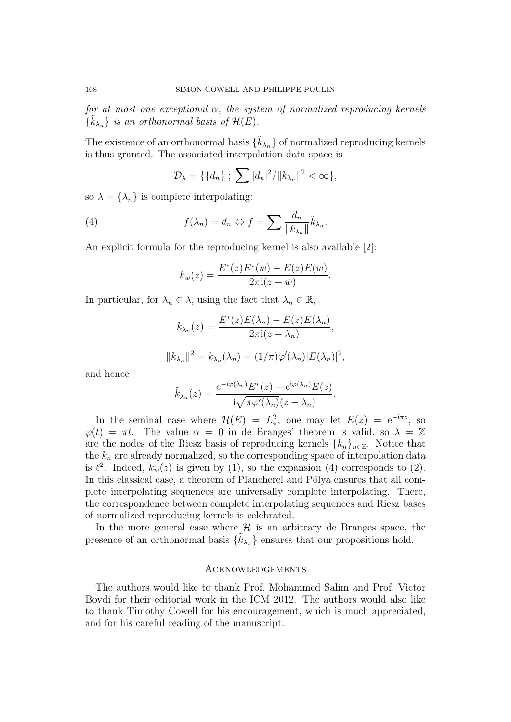*for at most one exceptional α, the system of normalized reproducing kernels*  $\{\tilde{k}_{\lambda_n}\}\$ is an orthonormal basis of  $\mathcal{H}(E)$ .

The existence of an orthonormal basis  $\{\tilde{k}_{\lambda_n}\}$  of normalized reproducing kernels is thus granted. The associated interpolation data space is

$$
\mathcal{D}_{\lambda} = \{ \{d_n\} ; \sum |d_n|^2 / ||k_{\lambda_n}||^2 < \infty \},\
$$

so  $\lambda = {\lambda_n}$  is complete interpolating:

(4) 
$$
f(\lambda_n) = d_n \Leftrightarrow f = \sum \frac{d_n}{\|k_{\lambda_n}\|} \tilde{k}_{\lambda_n}.
$$

An explicit formula for the reproducing kernel is also available [2]:

$$
k_w(z) = \frac{E^*(z)\overline{E^*(w)} - E(z)\overline{E(w)}}{2\pi i(z - \bar{w})}.
$$

In particular, for  $\lambda_n \in \lambda$ , using the fact that  $\lambda_n \in \mathbb{R}$ ,

$$
k_{\lambda_n}(z) = \frac{E^*(z)E(\lambda_n) - E(z)\overline{E(\lambda_n)}}{2\pi i(z - \lambda_n)},
$$
  

$$
||k_{\lambda_n}||^2 = k_{\lambda_n}(\lambda_n) = (1/\pi)\varphi'(\lambda_n)|E(\lambda_n)|^2,
$$

and hence

$$
\tilde{k}_{\lambda_n}(z) = \frac{e^{-i\varphi(\lambda_n)} E^*(z) - e^{i\varphi(\lambda_n)} E(z)}{i\sqrt{\pi \varphi'(\lambda_n)} (z - \lambda_n)}.
$$

In the seminal case where  $\mathcal{H}(E) = L^2_{\pi}$ , one may let  $E(z) = e^{-i\pi z}$ , so  $\varphi(t) = \pi t$ . The value  $\alpha = 0$  in de Branges' theorem is valid, so  $\lambda = \mathbb{Z}$ are the nodes of the Riesz basis of reproducing kernels  $\{k_n\}_{n\in\mathbb{Z}}$ . Notice that the  $k_n$  are already normalized, so the corresponding space of interpolation data is  $\ell^2$ . Indeed,  $k_w(z)$  is given by (1), so the expansion (4) corresponds to (2). In this classical case, a theorem of Plancherel and Pólya ensures that all complete interpolating sequences are universally complete interpolating. There, the correspondence between complete interpolating sequences and Riesz bases of normalized reproducing kernels is celebrated.

In the more general case where  $H$  is an arbitrary de Branges space, the presence of an orthonormal basis  $\{\tilde{k}_{\lambda_n}\}$  ensures that our propositions hold.

#### **ACKNOWLEDGEMENTS**

The authors would like to thank Prof. Mohammed Salim and Prof. Victor Bovdi for their editorial work in the ICM 2012. The authors would also like to thank Timothy Cowell for his encouragement, which is much appreciated, and for his careful reading of the manuscript.